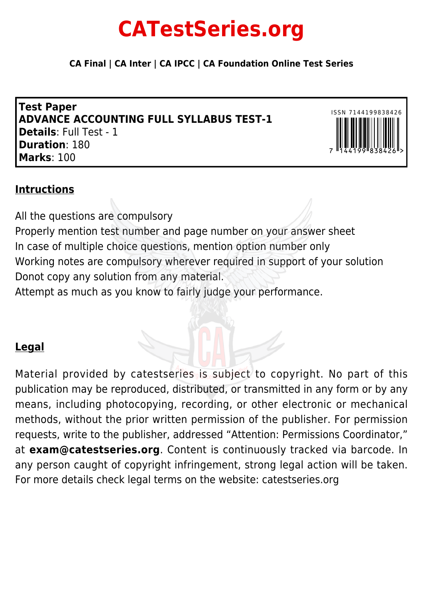# **CATestSeries.org**

**CA Final | CA Inter | CA IPCC | CA Foundation Online Test Series**

**Test Paper ADVANCE ACCOUNTING FULL SYLLABUS TEST-1 Details**: Full Test - 1 **Duration**: 180 **Marks**: 100



# **Intructions**

All the questions are compulsory Properly mention test number and page number on your answer sheet In case of multiple choice questions, mention option number only Working notes are compulsory wherever required in support of your solution Donot copy any solution from any material. Attempt as much as you know to fairly judge your performance.

# **Legal**

Material provided by catestseries is subject to copyright. No part of this publication may be reproduced, distributed, or transmitted in any form or by any means, including photocopying, recording, or other electronic or mechanical methods, without the prior written permission of the publisher. For permission requests, write to the publisher, addressed "Attention: Permissions Coordinator," at **exam@catestseries.org**. Content is continuously tracked via barcode. In any person caught of copyright infringement, strong legal action will be taken. For more details check legal terms on the website: catestseries.org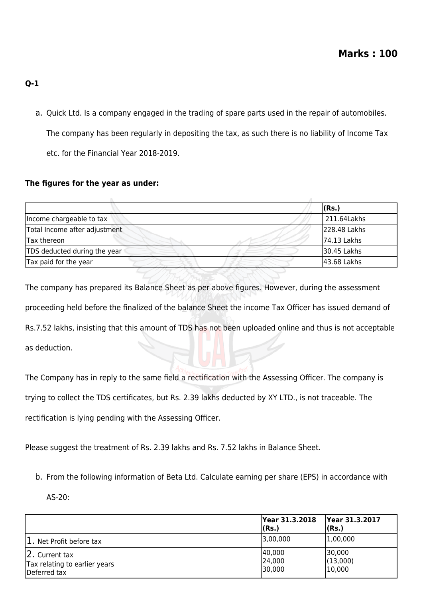- **Q-1**
	- a. Quick Ltd. Is a company engaged in the trading of spare parts used in the repair of automobiles. The company has been regularly in depositing the tax, as such there is no liability of Income Tax etc. for the Financial Year 2018-2019.

# **The figures for the year as under:**

|                               | (Rs.)        |
|-------------------------------|--------------|
| Income chargeable to tax      | 211.64Lakhs  |
| Total Income after adjustment | 228.48 Lakhs |
| Tax thereon                   | 74.13 Lakhs  |
| TDS deducted during the year  | 30.45 Lakhs  |
| Tax paid for the year         | 43.68 Lakhs  |

The company has prepared its Balance Sheet as per above figures. However, during the assessment proceeding held before the finalized of the balance Sheet the income Tax Officer has issued demand of Rs.7.52 lakhs, insisting that this amount of TDS has not been uploaded online and thus is not acceptable as deduction.

The Company has in reply to the same field a rectification with the Assessing Officer. The company is trying to collect the TDS certificates, but Rs. 2.39 lakhs deducted by XY LTD., is not traceable. The rectification is lying pending with the Assessing Officer.

Please suggest the treatment of Rs. 2.39 lakhs and Rs. 7.52 lakhs in Balance Sheet.

- b. From the following information of Beta Ltd. Calculate earning per share (EPS) in accordance with
	- AS-20:

|                                                                 | Year 31.3.2018 <br>(Rs.)   | Year 31.3.2017<br>(Rs.)      |
|-----------------------------------------------------------------|----------------------------|------------------------------|
| 1. Net Profit before tax                                        | 3,00,000                   | 1,00,000                     |
| 2. Current tax<br>Tax relating to earlier years<br>Deferred tax | 40,000<br>24,000<br>30,000 | 30,000<br>(13,000)<br>10,000 |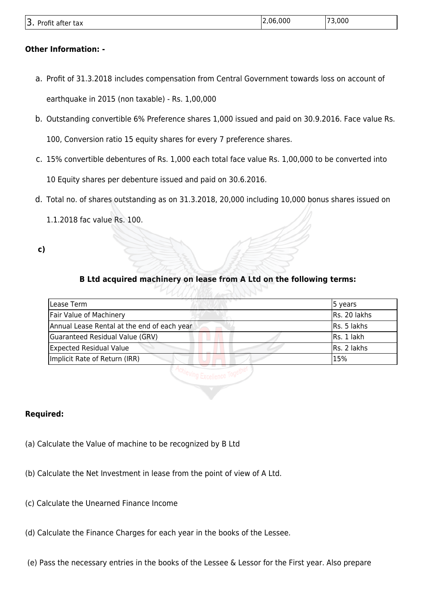| $\overline{\phantom{0}}$<br>$\sim$<br>. .<br>$\overline{\phantom{a}}$<br>Dro.<br>after<br>טווני<br><b>LdX</b><br>. J . | იიი<br>١r | ,000 |
|------------------------------------------------------------------------------------------------------------------------|-----------|------|
|                                                                                                                        |           |      |

#### **Other Information: -**

- a. Profit of 31.3.2018 includes compensation from Central Government towards loss on account of earthquake in 2015 (non taxable) - Rs. 1,00,000
- b. Outstanding convertible 6% Preference shares 1,000 issued and paid on 30.9.2016. Face value Rs.

100, Conversion ratio 15 equity shares for every 7 preference shares.

c. 15% convertible debentures of Rs. 1,000 each total face value Rs. 1,00,000 to be converted into

10 Equity shares per debenture issued and paid on 30.6.2016.

d. Total no. of shares outstanding as on 31.3.2018, 20,000 including 10,000 bonus shares issued on

1.1.2018 fac value Rs. 100.

**c)**

# **B Ltd acquired machinery on lease from A Ltd on the following terms:**

| Lease Term                                  | 5 years      |
|---------------------------------------------|--------------|
| <b>Fair Value of Machinery</b>              | Rs. 20 lakhs |
| Annual Lease Rental at the end of each year | Rs. 5 lakhs  |
| Guaranteed Residual Value (GRV)             | Rs. 1 lakh   |
| <b>Expected Residual Value</b>              | Rs. 2 lakhs  |
| Implicit Rate of Return (IRR)               | 15%          |
|                                             |              |

#### **Required:**

- (a) Calculate the Value of machine to be recognized by B Ltd
- (b) Calculate the Net Investment in lease from the point of view of A Ltd.
- (c) Calculate the Unearned Finance Income
- (d) Calculate the Finance Charges for each year in the books of the Lessee.
- (e) Pass the necessary entries in the books of the Lessee & Lessor for the First year. Also prepare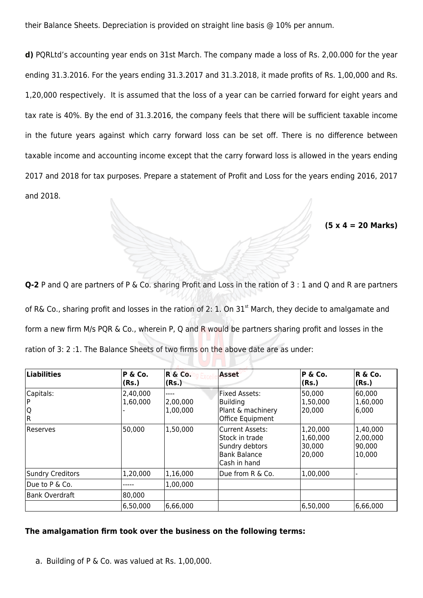their Balance Sheets. Depreciation is provided on straight line basis @ 10% per annum.

**d)** PQRLtd's accounting year ends on 31st March. The company made a loss of Rs. 2,00.000 for the year ending 31.3.2016. For the years ending 31.3.2017 and 31.3.2018, it made profits of Rs. 1,00,000 and Rs. 1,20,000 respectively. It is assumed that the loss of a year can be carried forward for eight years and tax rate is 40%. By the end of 31.3.2016, the company feels that there will be sufficient taxable income in the future years against which carry forward loss can be set off. There is no difference between taxable income and accounting income except that the carry forward loss is allowed in the years ending 2017 and 2018 for tax purposes. Prepare a statement of Profit and Loss for the years ending 2016, 2017 and 2018.

**(5 x 4 = 20 Marks)**

**Q-2** P and Q are partners of P & Co. sharing Profit and Loss in the ration of 3 : 1 and Q and R are partners of R& Co., sharing profit and losses in the ration of 2: 1. On 31<sup>st</sup> March, they decide to amalgamate and form a new firm M/s PQR & Co., wherein P, Q and R would be partners sharing profit and losses in the ration of 3: 2 :1. The Balance Sheets of two firms on the above date are as under:

| $ $ Liabilities       | P & Co.<br>(Rs.)     | R & Co.<br>(Rs.)             | Asset                                                                                      | P & Co.<br>(Rs.)                          | R & Co.<br>(Rs.)                          |
|-----------------------|----------------------|------------------------------|--------------------------------------------------------------------------------------------|-------------------------------------------|-------------------------------------------|
| Capitals:<br> Q<br> R | 2,40,000<br>1,60,000 | ----<br>2,00,000<br>1,00,000 | Fixed Assets:<br><b>Building</b><br>Plant & machinery<br>Office Equipment                  | 50,000<br> 1,50,000<br> 20,000            | 60,000 <br>1,60,000<br> 6,000             |
| lReserves             | 50,000               | 1,50,000                     | Current Assets:<br>Stock in trade<br>Sundry debtors<br><b>Bank Balance</b><br>Cash in hand | 1,20,000<br>1,60,000<br>30,000<br> 20,000 | 1,40,000<br>2,00,000<br>90,000 <br>10,000 |
| Sundry Creditors      | 1,20,000             | 1,16,000                     | Due from R & Co.                                                                           | 1,00,000                                  |                                           |
| Due to P & Co.        |                      | 1,00,000                     |                                                                                            |                                           |                                           |
| Bank Overdraft        | 80,000               |                              |                                                                                            |                                           |                                           |
|                       | 6,50,000             | 6,66,000                     |                                                                                            | 6,50,000                                  | 6,66,000                                  |

#### **The amalgamation firm took over the business on the following terms:**

a. Building of P & Co. was valued at Rs. 1,00,000.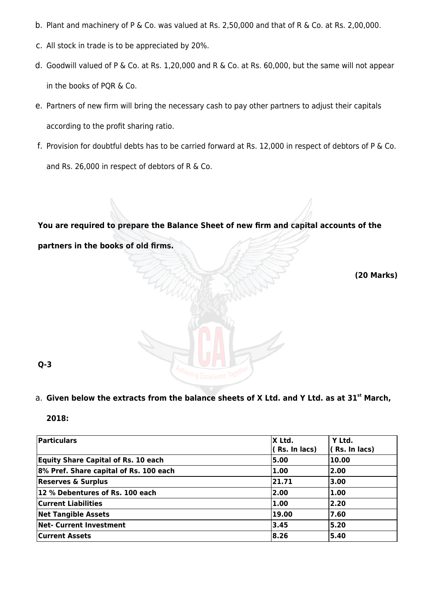- b. Plant and machinery of P & Co. was valued at Rs. 2,50,000 and that of R & Co. at Rs. 2,00,000.
- c. All stock in trade is to be appreciated by 20%.
- d. Goodwill valued of P & Co. at Rs. 1,20,000 and R & Co. at Rs. 60,000, but the same will not appear in the books of PQR & Co.
- e. Partners of new firm will bring the necessary cash to pay other partners to adjust their capitals according to the profit sharing ratio.
- f. Provision for doubtful debts has to be carried forward at Rs. 12,000 in respect of debtors of P & Co. and Rs. 26,000 in respect of debtors of R & Co.

**You are required to prepare the Balance Sheet of new firm and capital accounts of the partners in the books of old firms.**

**(20 Marks)**

**Q-3**

# a. Given below the extracts from the balance sheets of X Ltd. and Y Ltd. as at 31<sup>st</sup> March,

| Particulars                                | X Ltd.<br>(Rs. In lacs) | Y Ltd.<br>$($ Rs. In lacs) |
|--------------------------------------------|-------------------------|----------------------------|
| <b>Equity Share Capital of Rs. 10 each</b> | 5.00                    | 10.00                      |
| 8% Pref. Share capital of Rs. 100 each     | 1.00                    | 2.00                       |
| <b>Reserves &amp; Surplus</b>              | 21.71                   | 3.00                       |
| 12 % Debentures of Rs. 100 each            | 2.00                    | 1.00                       |
| <b>Current Liabilities</b>                 | 1.00                    | 2.20                       |
| <b>Net Tangible Assets</b>                 | 19.00                   | 7.60                       |
| <b>Net- Current Investment</b>             | 13.45                   | 5.20                       |
| <b>Current Assets</b>                      | 8.26                    | 5.40                       |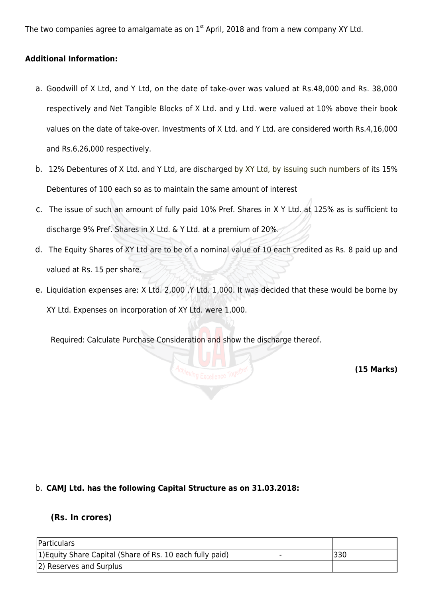The two companies agree to amalgamate as on  $1<sup>st</sup>$  April, 2018 and from a new company XY Ltd.

#### **Additional Information:**

- a. Goodwill of X Ltd, and Y Ltd, on the date of take-over was valued at Rs.48,000 and Rs. 38,000 respectively and Net Tangible Blocks of X Ltd. and y Ltd. were valued at 10% above their book values on the date of take-over. Investments of X Ltd. and Y Ltd. are considered worth Rs.4,16,000 and Rs.6,26,000 respectively.
- b. 12% Debentures of X Ltd. and Y Ltd, are discharged by XY Ltd, by issuing such numbers of its 15% Debentures of 100 each so as to maintain the same amount of interest
- c. The issue of such an amount of fully paid 10% Pref. Shares in X Y Ltd. at 125% as is sufficient to discharge 9% Pref. Shares in X Ltd. & Y Ltd. at a premium of 20%.
- d. The Equity Shares of XY Ltd are to be of a nominal value of 10 each credited as Rs. 8 paid up and valued at Rs. 15 per share.
- e. Liquidation expenses are: X Ltd. 2,000 ,Y Ltd. 1,000. It was decided that these would be borne by XY Ltd. Expenses on incorporation of XY Ltd. were 1,000.

Required: Calculate Purchase Consideration and show the discharge thereof.

**(15 Marks)**

#### b. **CAMJ Ltd. has the following Capital Structure as on 31.03.2018:**

#### **(Rs. In crores)**

| Particulars                                               |     |
|-----------------------------------------------------------|-----|
| 1) Equity Share Capital (Share of Rs. 10 each fully paid) | 330 |
| 2) Reserves and Surplus                                   |     |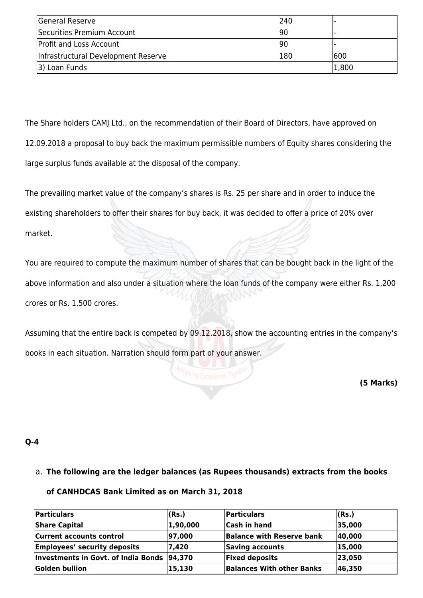| General Reserve                     | 1240 |       |
|-------------------------------------|------|-------|
| Securities Premium Account          | 190  |       |
| <b>Profit and Loss Account</b>      | 190  |       |
| Infrastructural Development Reserve | 180  | 600   |
| 3) Loan Funds                       |      | 1,800 |

The Share holders CAMJ Ltd., on the recommendation of their Board of Directors, have approved on 12.09.2018 a proposal to buy back the maximum permissible numbers of Equity shares considering the large surplus funds available at the disposal of the company.

The prevailing market value of the company's shares is Rs. 25 per share and in order to induce the existing shareholders to offer their shares for buy back, it was decided to offer a price of 20% over market.

You are required to compute the maximum number of shares that can be bought back in the light of the above information and also under a situation where the loan funds of the company were either Rs. 1,200 crores or Rs. 1,500 crores.

Assuming that the entire back is competed by 09.12.2018, show the accounting entries in the company's books in each situation. Narration should form part of your answer.

**(5 Marks)**

#### **Q-4**

# a. **The following are the ledger balances (as Rupees thousands) extracts from the books**

#### **of CANHDCAS Bank Limited as on March 31, 2018**

| Particulars                                | (Rs.)    | Particulars                      | (Rs.)  |
|--------------------------------------------|----------|----------------------------------|--------|
| <b>Share Capital</b>                       | 1,90,000 | <b>Cash in hand</b>              | 35,000 |
| <b>Current accounts control</b>            | 97,000   | <b>Balance with Reserve bank</b> | 40,000 |
| <b>Employees' security deposits</b>        | 7,420    | Saving accounts                  | 15,000 |
| Investments in Govt. of India Bonds 94,370 |          | <b>Fixed deposits</b>            | 23,050 |
| Golden bullion                             | 15,130   | <b>Balances With other Banks</b> | 46,350 |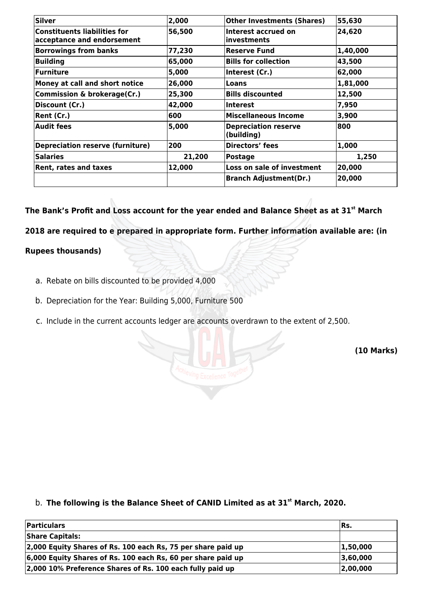| <b>Silver</b>                                                     | 2,000  | <b>Other Investments (Shares)</b>         | 55,630   |
|-------------------------------------------------------------------|--------|-------------------------------------------|----------|
| <b>Constituents liabilities for</b><br>acceptance and endorsement | 56,500 | Interest accrued on<br>linvestments       | 24,620   |
| <b>Borrowings from banks</b>                                      | 77,230 | <b>Reserve Fund</b>                       | 1,40,000 |
| <b>Building</b>                                                   | 65,000 | <b>Bills for collection</b>               | 43,500   |
| <b>Furniture</b>                                                  | 5,000  | Interest (Cr.)                            | 62,000   |
| Money at call and short notice                                    | 26,000 | Loans                                     | 1,81,000 |
| <b>Commission &amp; brokerage(Cr.)</b>                            | 25,300 | <b>Bills discounted</b>                   | 12,500   |
| Discount (Cr.)                                                    | 42,000 | <b>Interest</b>                           | 7,950    |
| Rent (Cr.)                                                        | 600    | <b>Miscellaneous Income</b>               | 3,900    |
| <b>Audit fees</b>                                                 | 5,000  | <b>Depreciation reserve</b><br>(building) | 800      |
| <b>Depreciation reserve (furniture)</b>                           | 200    | <b>Directors' fees</b>                    | 1,000    |
| <b>Salaries</b>                                                   | 21,200 | <b>Postage</b>                            | 1,250    |
| Rent, rates and taxes                                             | 12,000 | Loss on sale of investment                | 20,000   |
|                                                                   |        | <b>Branch Adjustment(Dr.)</b>             | 20,000   |

**The Bank's Profit and Loss account for the year ended and Balance Sheet as at 31st March**

**2018 are required to e prepared in appropriate form. Further information available are: (in**

### **Rupees thousands)**

- a. Rebate on bills discounted to be provided 4,000
- b. Depreciation for the Year: Building 5,000, Furniture 500
- c. Include in the current accounts ledger are accounts overdrawn to the extent of 2,500.

**(10 Marks)**

**The following is the Balance Sheet of CANID Limited as at 31st** b. **March, 2020.**

| <b>Particulars</b>                                           | IRs.     |
|--------------------------------------------------------------|----------|
| <b>Share Capitals:</b>                                       |          |
| 2,000 Equity Shares of Rs. 100 each Rs, 75 per share paid up | 1,50,000 |
| 6,000 Equity Shares of Rs. 100 each Rs, 60 per share paid up | 3,60,000 |
| 2,000 10% Preference Shares of Rs. 100 each fully paid up    | 2,00,000 |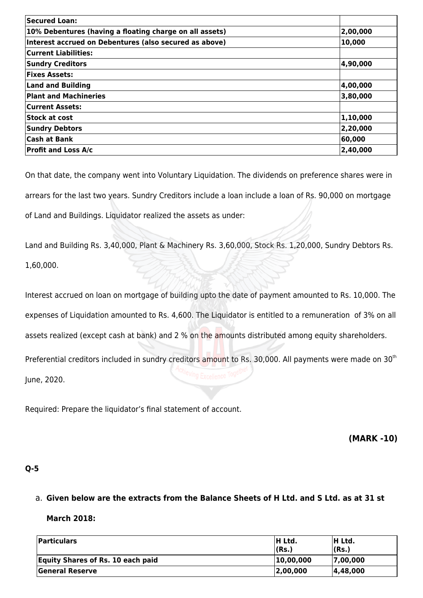| Secured Loan:                                           |          |
|---------------------------------------------------------|----------|
| 10% Debentures (having a floating charge on all assets) | 2,00,000 |
| Interest accrued on Debentures (also secured as above)  | 10,000   |
| <b>Current Liabilities:</b>                             |          |
| <b>Sundry Creditors</b>                                 | 4,90,000 |
| <b>Fixes Assets:</b>                                    |          |
| <b>Land and Building</b>                                | 4,00,000 |
| <b>Plant and Machineries</b>                            | 3,80,000 |
| <b>Current Assets:</b>                                  |          |
| Stock at cost                                           | 1,10,000 |
| <b>Sundry Debtors</b>                                   | 2,20,000 |
| <b>Cash at Bank</b>                                     | 60,000   |
| <b>Profit and Loss A/c</b>                              | 2,40,000 |

On that date, the company went into Voluntary Liquidation. The dividends on preference shares were in arrears for the last two years. Sundry Creditors include a loan include a loan of Rs. 90,000 on mortgage of Land and Buildings. Liquidator realized the assets as under:

Land and Building Rs. 3,40,000, Plant & Machinery Rs. 3,60,000, Stock Rs. 1,20,000, Sundry Debtors Rs. 1,60,000.

Interest accrued on loan on mortgage of building upto the date of payment amounted to Rs. 10,000. The expenses of Liquidation amounted to Rs. 4,600. The Liquidator is entitled to a remuneration of 3% on all assets realized (except cash at bank) and 2 % on the amounts distributed among equity shareholders. Preferential creditors included in sundry creditors amount to Rs. 30,000. All payments were made on 30<sup>th</sup>

June, 2020.

Required: Prepare the liquidator's final statement of account.

**(MARK -10)**

# **Q-5**

#### a. **Given below are the extracts from the Balance Sheets of H Ltd. and S Ltd. as at 31 st**

#### **March 2018:**

| <b>Particulars</b>                       | <b>H Ltd.</b><br> (Rs.) | <b>H</b> Ltd.<br>(Rs.) |
|------------------------------------------|-------------------------|------------------------|
| <b>Equity Shares of Rs. 10 each paid</b> | 10,00,000               | 7,00,000               |
| General Reserve                          | 2,00,000                | 4,48,000               |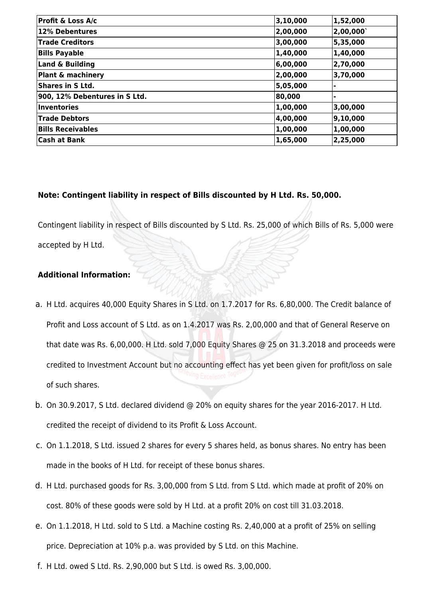| 3, 10, 000 | 1,52,000 |
|------------|----------|
| 2,00,000   | 2,00,000 |
| 3,00,000   | 5,35,000 |
| 1,40,000   | 1,40,000 |
| 6,00,000   | 2,70,000 |
| 2,00,000   | 3,70,000 |
| 5,05,000   |          |
| 80,000     |          |
| 1,00,000   | 3,00,000 |
| 4,00,000   | 9,10,000 |
| 1,00,000   | 1,00,000 |
| 1,65,000   | 2,25,000 |
|            |          |

#### **Note: Contingent liability in respect of Bills discounted by H Ltd. Rs. 50,000.**

Contingent liability in respect of Bills discounted by S Ltd. Rs. 25,000 of which Bills of Rs. 5,000 were

accepted by H Ltd.

#### **Additional Information:**

- a. H Ltd. acquires 40,000 Equity Shares in S Ltd. on 1.7.2017 for Rs. 6,80,000. The Credit balance of Profit and Loss account of S Ltd. as on 1.4.2017 was Rs. 2,00,000 and that of General Reserve on that date was Rs. 6,00,000. H Ltd. sold 7,000 Equity Shares @ 25 on 31.3.2018 and proceeds were credited to Investment Account but no accounting effect has yet been given for profit/loss on sale of such shares.
- b. On 30.9.2017, S Ltd. declared dividend @ 20% on equity shares for the year 2016-2017. H Ltd. credited the receipt of dividend to its Profit & Loss Account.
- c. On 1.1.2018, S Ltd. issued 2 shares for every 5 shares held, as bonus shares. No entry has been made in the books of H Ltd. for receipt of these bonus shares.
- d. H Ltd. purchased goods for Rs. 3,00,000 from S Ltd. from S Ltd. which made at profit of 20% on cost. 80% of these goods were sold by H Ltd. at a profit 20% on cost till 31.03.2018.
- e. On 1.1.2018, H Ltd. sold to S Ltd. a Machine costing Rs. 2,40,000 at a profit of 25% on selling price. Depreciation at 10% p.a. was provided by S Ltd. on this Machine.
- f. H Ltd. owed S Ltd. Rs. 2,90,000 but S Ltd. is owed Rs. 3,00,000.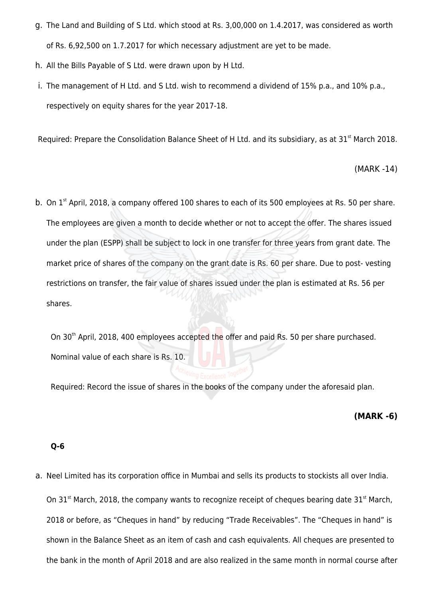- g. The Land and Building of S Ltd. which stood at Rs. 3,00,000 on 1.4.2017, was considered as worth of Rs. 6,92,500 on 1.7.2017 for which necessary adjustment are yet to be made.
- h. All the Bills Payable of S Ltd. were drawn upon by H Ltd.
- i. The management of H Ltd. and S Ltd. wish to recommend a dividend of 15% p.a., and 10% p.a., respectively on equity shares for the year 2017-18.

Required: Prepare the Consolidation Balance Sheet of H Ltd. and its subsidiary, as at 31<sup>st</sup> March 2018.

(MARK -14)

b. On  $1<sup>st</sup>$  April, 2018, a company offered 100 shares to each of its 500 employees at Rs. 50 per share. The employees are given a month to decide whether or not to accept the offer. The shares issued under the plan (ESPP) shall be subject to lock in one transfer for three years from grant date. The market price of shares of the company on the grant date is Rs. 60 per share. Due to post- vesting restrictions on transfer, the fair value of shares issued under the plan is estimated at Rs. 56 per shares.

On 30<sup>th</sup> April, 2018, 400 employees accepted the offer and paid Rs. 50 per share purchased. Nominal value of each share is Rs. 10.

Required: Record the issue of shares in the books of the company under the aforesaid plan.

#### **(MARK -6)**

#### **Q-6**

a. Neel Limited has its corporation office in Mumbai and sells its products to stockists all over India. On 31 $^{\text{st}}$  March, 2018, the company wants to recognize receipt of cheques bearing date 31 $^{\text{st}}$  March, 2018 or before, as "Cheques in hand" by reducing "Trade Receivables". The "Cheques in hand" is shown in the Balance Sheet as an item of cash and cash equivalents. All cheques are presented to the bank in the month of April 2018 and are also realized in the same month in normal course after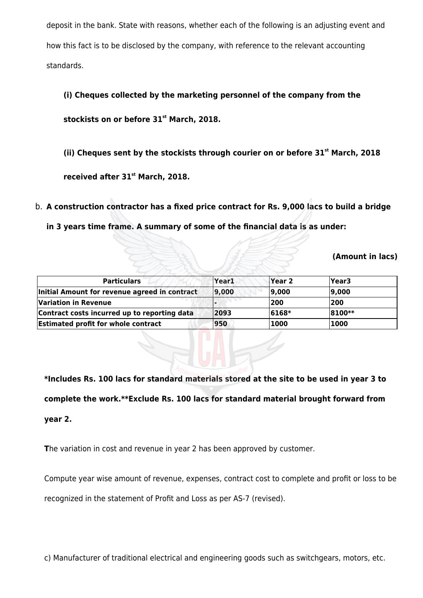deposit in the bank. State with reasons, whether each of the following is an adjusting event and how this fact is to be disclosed by the company, with reference to the relevant accounting standards.

# **(i) Cheques collected by the marketing personnel of the company from the**

**stockists on or before 31st March, 2018.**

**(ii) Cheques sent by the stockists through courier on or before 31st March, 2018**

**received after 31st March, 2018.**

b. **A construction contractor has a fixed price contract for Rs. 9,000 lacs to build a bridge**

**in 3 years time frame. A summary of some of the financial data is as under:**

**(Amount in lacs)**

| <b>Particulars</b>                            | Year1 | Year 2 | <b>Year3</b> |  |
|-----------------------------------------------|-------|--------|--------------|--|
| Initial Amount for revenue agreed in contract | 9,000 | 9,000  | 9,000        |  |
| <b>Variation in Revenue</b>                   |       | 200    | 200          |  |
| Contract costs incurred up to reporting data  | 2093  | 6168*  | 8100**       |  |
| <b>Estimated profit for whole contract</b>    | 950   | 1000   | 1000         |  |

**\*Includes Rs. 100 lacs for standard materials stored at the site to be used in year 3 to complete the work.\*\*Exclude Rs. 100 lacs for standard material brought forward from year 2.**

**T**he variation in cost and revenue in year 2 has been approved by customer.

Compute year wise amount of revenue, expenses, contract cost to complete and profit or loss to be

recognized in the statement of Profit and Loss as per AS-7 (revised).

c) Manufacturer of traditional electrical and engineering goods such as switchgears, motors, etc.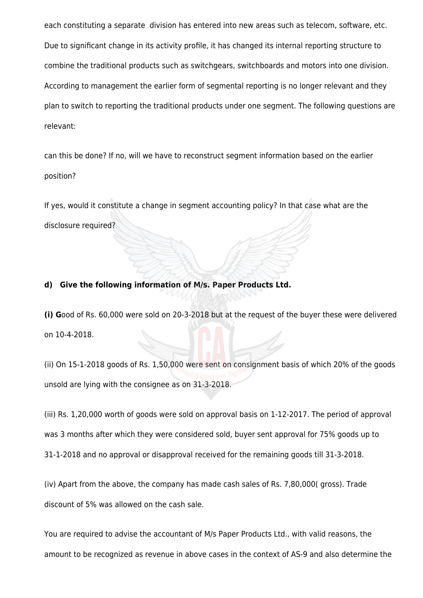each constituting a separate division has entered into new areas such as telecom, software, etc. Due to significant change in its activity profile, it has changed its internal reporting structure to combine the traditional products such as switchgears, switchboards and motors into one division. According to management the earlier form of segmental reporting is no longer relevant and they plan to switch to reporting the traditional products under one segment. The following questions are relevant:

can this be done? If no, will we have to reconstruct segment information based on the earlier position?

If yes, would it constitute a change in segment accounting policy? In that case what are the disclosure required?

#### **d) Give the following information of M/s. Paper Products Ltd.**

**(i) G**ood of Rs. 60,000 were sold on 20-3-2018 but at the request of the buyer these were delivered on 10-4-2018.

(ii) On 15-1-2018 goods of Rs. 1,50,000 were sent on consignment basis of which 20% of the goods unsold are lying with the consignee as on 31-3-2018.

(iii) Rs. 1,20,000 worth of goods were sold on approval basis on 1-12-2017. The period of approval was 3 months after which they were considered sold, buyer sent approval for 75% goods up to 31-1-2018 and no approval or disapproval received for the remaining goods till 31-3-2018.

(iv) Apart from the above, the company has made cash sales of Rs. 7,80,000( gross). Trade discount of 5% was allowed on the cash sale.

You are required to advise the accountant of M/s Paper Products Ltd., with valid reasons, the amount to be recognized as revenue in above cases in the context of AS-9 and also determine the